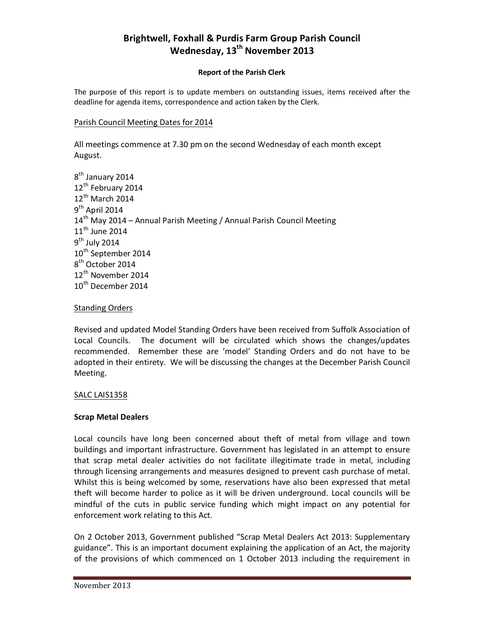# **Brightwell, Foxhall & Purdis Farm Group Parish Council Wednesday, 13th November 2013**

#### **Report of the Parish Clerk**

The purpose of this report is to update members on outstanding issues, items received after the deadline for agenda items, correspondence and action taken by the Clerk.

#### Parish Council Meeting Dates for 2014

All meetings commence at 7.30 pm on the second Wednesday of each month except August.

```
8<sup>th</sup> January 2014
12<sup>th</sup> February 2014
12<sup>th</sup> March 2014
9<sup>th</sup> April 2014
14<sup>th</sup> May 2014 – Annual Parish Meeting / Annual Parish Council Meeting
11<sup>th</sup> June 2014
9<sup>th</sup> July 2014
10<sup>th</sup> September 2014
8<sup>th</sup> October 2014
12<sup>th</sup> November 2014
10<sup>th</sup> December 2014
```
#### **Standing Orders**

Revised and updated Model Standing Orders have been received from Suffolk Association of Local Councils. The document will be circulated which shows the changes/updates recommended. Remember these are 'model' Standing Orders and do not have to be adopted in their entirety. We will be discussing the changes at the December Parish Council Meeting.

## SALC LAIS1358

## **Scrap Metal Dealers**

Local councils have long been concerned about theft of metal from village and town buildings and important infrastructure. Government has legislated in an attempt to ensure that scrap metal dealer activities do not facilitate illegitimate trade in metal, including through licensing arrangements and measures designed to prevent cash purchase of metal. Whilst this is being welcomed by some, reservations have also been expressed that metal theft will become harder to police as it will be driven underground. Local councils will be mindful of the cuts in public service funding which might impact on any potential for enforcement work relating to this Act.

On 2 October 2013, Government published "Scrap Metal Dealers Act 2013: Supplementary guidance". This is an important document explaining the application of an Act, the majority of the provisions of which commenced on 1 October 2013 including the requirement in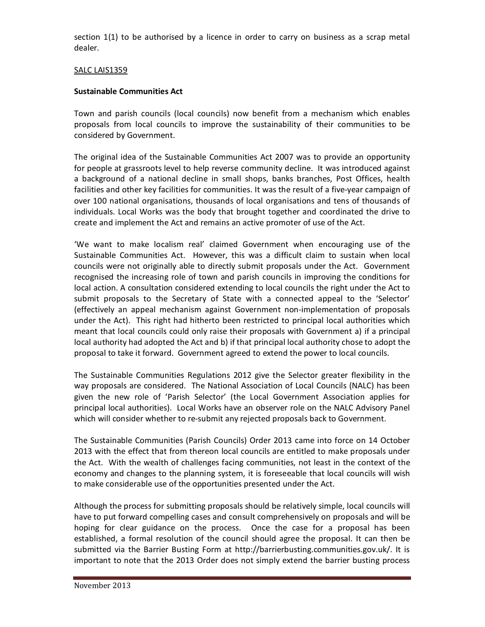section 1(1) to be authorised by a licence in order to carry on business as a scrap metal dealer.

## SALC LAIS1359

#### **Sustainable Communities Act**

Town and parish councils (local councils) now benefit from a mechanism which enables proposals from local councils to improve the sustainability of their communities to be considered by Government.

The original idea of the Sustainable Communities Act 2007 was to provide an opportunity for people at grassroots level to help reverse community decline. It was introduced against a background of a national decline in small shops, banks branches, Post Offices, health facilities and other key facilities for communities. It was the result of a five-year campaign of over 100 national organisations, thousands of local organisations and tens of thousands of individuals. Local Works was the body that brought together and coordinated the drive to create and implement the Act and remains an active promoter of use of the Act.

'We want to make localism real' claimed Government when encouraging use of the Sustainable Communities Act. However, this was a difficult claim to sustain when local councils were not originally able to directly submit proposals under the Act. Government recognised the increasing role of town and parish councils in improving the conditions for local action. A consultation considered extending to local councils the right under the Act to submit proposals to the Secretary of State with a connected appeal to the 'Selector' (effectively an appeal mechanism against Government non-implementation of proposals under the Act). This right had hitherto been restricted to principal local authorities which meant that local councils could only raise their proposals with Government a) if a principal local authority had adopted the Act and b) if that principal local authority chose to adopt the proposal to take it forward. Government agreed to extend the power to local councils.

The Sustainable Communities Regulations 2012 give the Selector greater flexibility in the way proposals are considered. The National Association of Local Councils (NALC) has been given the new role of 'Parish Selector' (the Local Government Association applies for principal local authorities). Local Works have an observer role on the NALC Advisory Panel which will consider whether to re-submit any rejected proposals back to Government.

The Sustainable Communities (Parish Councils) Order 2013 came into force on 14 October 2013 with the effect that from thereon local councils are entitled to make proposals under the Act. With the wealth of challenges facing communities, not least in the context of the economy and changes to the planning system, it is foreseeable that local councils will wish to make considerable use of the opportunities presented under the Act.

Although the process for submitting proposals should be relatively simple, local councils will have to put forward compelling cases and consult comprehensively on proposals and will be hoping for clear guidance on the process. Once the case for a proposal has been established, a formal resolution of the council should agree the proposal. It can then be submitted via the Barrier Busting Form at http://barrierbusting.communities.gov.uk/. It is important to note that the 2013 Order does not simply extend the barrier busting process